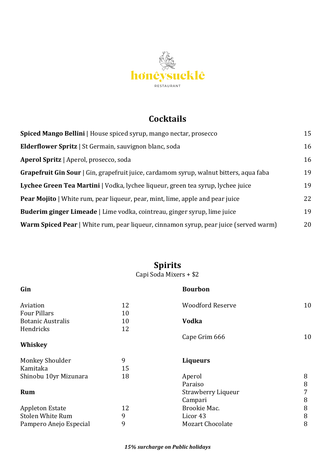

## **Cocktails**

| <b>Spiced Mango Bellini</b>   House spiced syrup, mango nectar, prosecco                    | 15 |
|---------------------------------------------------------------------------------------------|----|
| <b>Elderflower Spritz</b>   St Germain, sauvignon blanc, soda                               | 16 |
| <b>Aperol Spritz</b>   Aperol, prosecco, soda                                               | 16 |
| Grapefruit Gin Sour   Gin, grapefruit juice, cardamom syrup, walnut bitters, aqua faba      | 19 |
| Lychee Green Tea Martini   Vodka, lychee liqueur, green tea syrup, lychee juice             | 19 |
| <b>Pear Mojito</b>   White rum, pear liqueur, pear, mint, lime, apple and pear juice        | 22 |
| <b>Buderim ginger Limeade</b>   Lime vodka, cointreau, ginger syrup, lime juice             | 19 |
| <b>Warm Spiced Pear</b>   White rum, pear liqueur, cinnamon syrup, pear juice (served warm) | 20 |

#### **Spirits**

#### Capi Soda Mixers + \$2

| Gin                      |    | <b>Bourbon</b>          |    |
|--------------------------|----|-------------------------|----|
| Aviation                 | 12 | <b>Woodford Reserve</b> | 10 |
| <b>Four Pillars</b>      | 10 |                         |    |
| <b>Botanic Australis</b> | 10 | <b>Vodka</b>            |    |
| Hendricks                | 12 |                         |    |
|                          |    | Cape Grim 666           | 10 |
| Whiskey                  |    |                         |    |
| <b>Monkey Shoulder</b>   | 9  | <b>Liqueurs</b>         |    |
| Kamitaka                 | 15 |                         |    |
| Shinobu 10yr Mizunara    | 18 | Aperol                  | 8  |
|                          |    | Paraiso                 | 8  |
| Rum                      |    | Strawberry Liqueur      | 7  |
|                          |    | Campari                 | 8  |
| <b>Appleton Estate</b>   | 12 | Brookie Mac.            | 8  |
| <b>Stolen White Rum</b>  | 9  | Licor 43                | 8  |
| Pampero Anejo Especial   | 9  | <b>Mozart Chocolate</b> | 8  |
|                          |    |                         |    |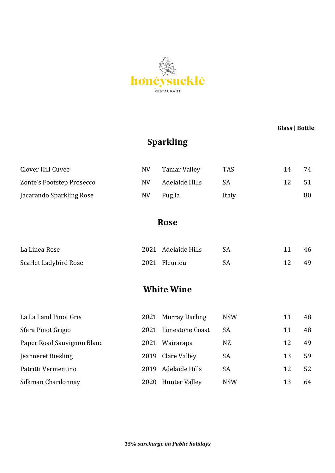

**Glass** | **Bottle** 

# **Sparkling**

| Clover Hill Cuvee         | NV  | Tamar Valley   | <b>TAS</b> | 14 | 74 |
|---------------------------|-----|----------------|------------|----|----|
| Zonte's Footstep Prosecco | NV. | Adelaide Hills | SА         | 12 | 51 |
| Jacarando Sparkling Rose  | NV  | Puglia         | Italy      |    | 80 |

**Rose**

| La Linea Rose         | 2021 Adelaide Hills |    | 46 |
|-----------------------|---------------------|----|----|
| Scarlet Ladybird Rose | 2021 Fleurieu       | SA | 49 |

**White Wine** 

| La La Land Pinot Gris      |      | 2021 Murray Darling  | <b>NSW</b> | 11 | 48 |
|----------------------------|------|----------------------|------------|----|----|
| Sfera Pinot Grigio         | 2021 | Limestone Coast      | <b>SA</b>  | 11 | 48 |
| Paper Road Sauvignon Blanc | 2021 | Wairarapa            | NZ         | 12 | 49 |
| Jeanneret Riesling         |      | 2019 Clare Valley    | SA         | 13 | 59 |
| Patritti Vermentino        | 2019 | Adelaide Hills       | <b>SA</b>  | 12 | 52 |
| Silkman Chardonnay         | 2020 | <b>Hunter Valley</b> | <b>NSW</b> | 13 | 64 |

*15% surcharge on Public holidays*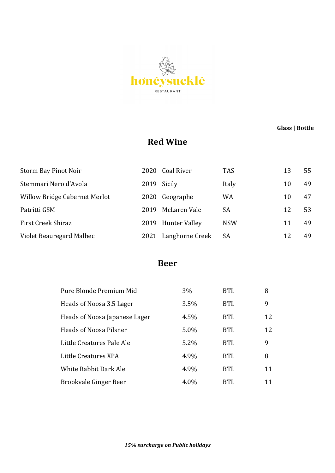

 **Glass | Bottle**

## **Red Wine**

| Storm Bay Pinot Noir                 | 2020 | Coal River      | <b>TAS</b> | 13 | 55 |
|--------------------------------------|------|-----------------|------------|----|----|
| Stemmari Nero d'Avola                | 2019 | Sicily          | Italy      | 10 | 49 |
| <b>Willow Bridge Cabernet Merlot</b> | 2020 | Geographe       | <b>WA</b>  | 10 | 47 |
| Patritti GSM                         | 2019 | McLaren Vale    | SА         | 12 | 53 |
| First Creek Shiraz                   | 2019 | Hunter Valley   | <b>NSW</b> | 11 | 49 |
| Violet Beauregard Malbec             | 2021 | Langhorne Creek | <b>SA</b>  | 12 | 49 |

#### **Beer**

| Pure Blonde Premium Mid       | $3\%$ | <b>BTL</b> | 8  |
|-------------------------------|-------|------------|----|
| Heads of Noosa 3.5 Lager      | 3.5%  | <b>BTL</b> | 9  |
| Heads of Noosa Japanese Lager | 4.5%  | <b>BTL</b> | 12 |
| Heads of Noosa Pilsner        | 5.0%  | <b>BTL</b> | 12 |
| Little Creatures Pale Ale     | 5.2%  | <b>BTL</b> | 9  |
| Little Creatures XPA          | 4.9%  | <b>BTL</b> | 8  |
| White Rabbit Dark Ale         | 4.9%  | <b>BTL</b> | 11 |
| Brookvale Ginger Beer         | 4.0%  | BTL        | 11 |

*15% surcharge on Public holidays*